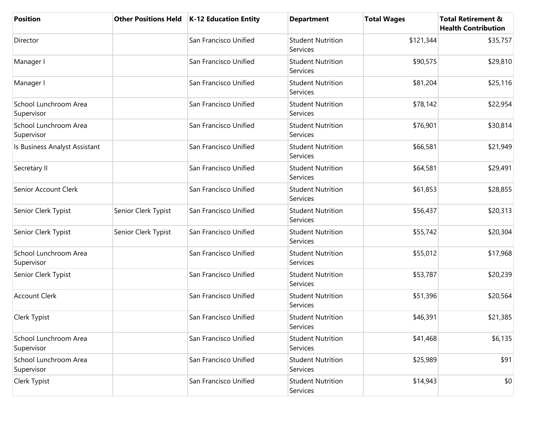| <b>Position</b>                     | <b>Other Positions Held</b> | <b>K-12 Education Entity</b> | <b>Department</b>                    | <b>Total Wages</b> | <b>Total Retirement &amp;</b><br><b>Health Contribution</b> |
|-------------------------------------|-----------------------------|------------------------------|--------------------------------------|--------------------|-------------------------------------------------------------|
| Director                            |                             | San Francisco Unified        | <b>Student Nutrition</b><br>Services | \$121,344          | \$35,757                                                    |
| Manager I                           |                             | San Francisco Unified        | <b>Student Nutrition</b><br>Services | \$90,575           | \$29,810                                                    |
| Manager I                           |                             | San Francisco Unified        | <b>Student Nutrition</b><br>Services | \$81,204           | \$25,116                                                    |
| School Lunchroom Area<br>Supervisor |                             | San Francisco Unified        | <b>Student Nutrition</b><br>Services | \$78,142           | \$22,954                                                    |
| School Lunchroom Area<br>Supervisor |                             | San Francisco Unified        | <b>Student Nutrition</b><br>Services | \$76,901           | \$30,814                                                    |
| Is Business Analyst Assistant       |                             | San Francisco Unified        | <b>Student Nutrition</b><br>Services | \$66,581           | \$21,949                                                    |
| Secretary II                        |                             | San Francisco Unified        | <b>Student Nutrition</b><br>Services | \$64,581           | \$29,491                                                    |
| Senior Account Clerk                |                             | San Francisco Unified        | <b>Student Nutrition</b><br>Services | \$61,853           | \$28,855                                                    |
| Senior Clerk Typist                 | Senior Clerk Typist         | San Francisco Unified        | <b>Student Nutrition</b><br>Services | \$56,437           | \$20,313                                                    |
| Senior Clerk Typist                 | Senior Clerk Typist         | San Francisco Unified        | <b>Student Nutrition</b><br>Services | \$55,742           | \$20,304                                                    |
| School Lunchroom Area<br>Supervisor |                             | San Francisco Unified        | <b>Student Nutrition</b><br>Services | \$55,012           | \$17,968                                                    |
| Senior Clerk Typist                 |                             | San Francisco Unified        | <b>Student Nutrition</b><br>Services | \$53,787           | \$20,239                                                    |
| <b>Account Clerk</b>                |                             | San Francisco Unified        | <b>Student Nutrition</b><br>Services | \$51,396           | \$20,564                                                    |
| Clerk Typist                        |                             | San Francisco Unified        | <b>Student Nutrition</b><br>Services | \$46,391           | \$21,385                                                    |
| School Lunchroom Area<br>Supervisor |                             | San Francisco Unified        | <b>Student Nutrition</b><br>Services | \$41,468           | \$6,135                                                     |
| School Lunchroom Area<br>Supervisor |                             | San Francisco Unified        | <b>Student Nutrition</b><br>Services | \$25,989           | \$91                                                        |
| Clerk Typist                        |                             | San Francisco Unified        | <b>Student Nutrition</b><br>Services | \$14,943           | \$0                                                         |